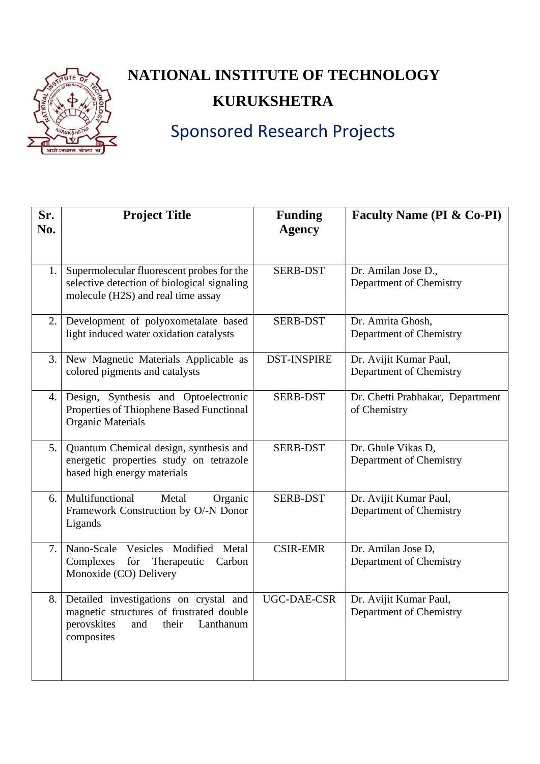

## **NATIONAL INSTITUTE OF TECHNOLOGY KURUKSHETRA**

## Sponsored Research Projects

| Sr.<br>No. | <b>Project Title</b>                                                                                                                         | <b>Funding</b><br><b>Agency</b> | <b>Faculty Name (PI &amp; Co-PI)</b>              |
|------------|----------------------------------------------------------------------------------------------------------------------------------------------|---------------------------------|---------------------------------------------------|
| 1.         | Supermolecular fluorescent probes for the<br>selective detection of biological signaling<br>molecule (H2S) and real time assay               | <b>SERB-DST</b>                 | Dr. Amilan Jose D.,<br>Department of Chemistry    |
| 2.1        | Development of polyoxometalate based<br>light induced water oxidation catalysts                                                              | <b>SERB-DST</b>                 | Dr. Amrita Ghosh,<br>Department of Chemistry      |
|            | 3. New Magnetic Materials Applicable as<br>colored pigments and catalysts                                                                    | <b>DST-INSPIRE</b>              | Dr. Avijit Kumar Paul,<br>Department of Chemistry |
|            | 4. Design, Synthesis and Optoelectronic<br>Properties of Thiophene Based Functional<br><b>Organic Materials</b>                              | <b>SERB-DST</b>                 | Dr. Chetti Prabhakar, Department<br>of Chemistry  |
| 5.         | Quantum Chemical design, synthesis and<br>energetic properties study on tetrazole<br>based high energy materials                             | <b>SERB-DST</b>                 | Dr. Ghule Vikas D,<br>Department of Chemistry     |
|            | 6. Multifunctional<br>Metal<br>Organic<br>Framework Construction by O/-N Donor<br>Ligands                                                    | <b>SERB-DST</b>                 | Dr. Avijit Kumar Paul,<br>Department of Chemistry |
| 7.1        | Nano-Scale<br>Vesicles Modified<br>Metal<br>Complexes<br>Therapeutic<br>for<br>Carbon<br>Monoxide (CO) Delivery                              | <b>CSIR-EMR</b>                 | Dr. Amilan Jose D,<br>Department of Chemistry     |
| 8.1        | Detailed investigations on crystal and<br>magnetic structures of frustrated double<br>perovskites<br>Lanthanum<br>and<br>their<br>composites | <b>UGC-DAE-CSR</b>              | Dr. Avijit Kumar Paul,<br>Department of Chemistry |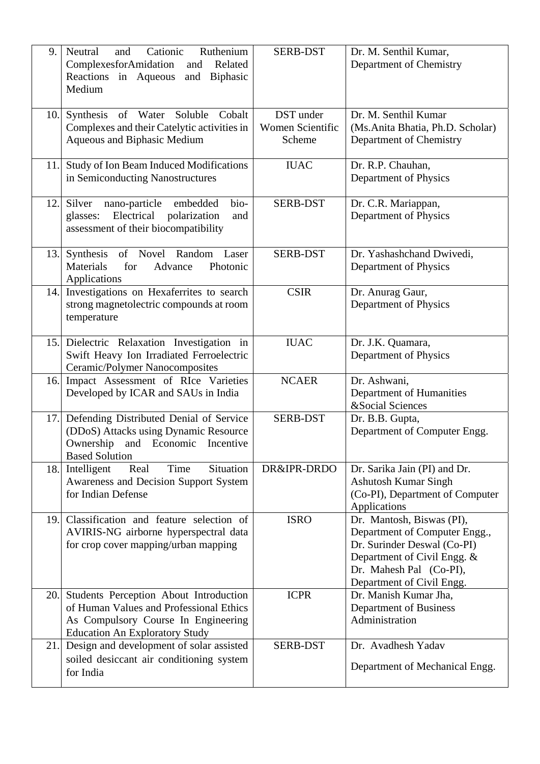| 9.  | Cationic<br>Ruthenium<br>Neutral<br>and<br>ComplexesforAmidation<br>Related<br>and<br>Reactions in Aqueous<br><b>Biphasic</b><br>and<br>Medium                        | <b>SERB-DST</b>                         | Dr. M. Senthil Kumar,<br>Department of Chemistry                                                                                                                                 |
|-----|-----------------------------------------------------------------------------------------------------------------------------------------------------------------------|-----------------------------------------|----------------------------------------------------------------------------------------------------------------------------------------------------------------------------------|
| 10. | Synthesis of Water Soluble Cobalt<br>Complexes and their Catelytic activities in<br>Aqueous and Biphasic Medium                                                       | DST under<br>Women Scientific<br>Scheme | Dr. M. Senthil Kumar<br>(Ms.Anita Bhatia, Ph.D. Scholar)<br>Department of Chemistry                                                                                              |
| 11. | Study of Ion Beam Induced Modifications<br>in Semiconducting Nanostructures                                                                                           | <b>IUAC</b>                             | Dr. R.P. Chauhan,<br>Department of Physics                                                                                                                                       |
| 12. | nano-particle<br>embedded<br>bio-<br>Silver<br>Electrical<br>polarization<br>glasses:<br>and<br>assessment of their biocompatibility                                  | <b>SERB-DST</b>                         | Dr. C.R. Mariappan,<br>Department of Physics                                                                                                                                     |
| 13. | Synthesis of Novel Random Laser<br>Materials<br>for<br>Advance<br>Photonic<br>Applications                                                                            | <b>SERB-DST</b>                         | Dr. Yashashchand Dwivedi,<br>Department of Physics                                                                                                                               |
| 14. | Investigations on Hexaferrites to search<br>strong magnetolectric compounds at room<br>temperature                                                                    | <b>CSIR</b>                             | Dr. Anurag Gaur,<br>Department of Physics                                                                                                                                        |
| 15. | Dielectric Relaxation Investigation in<br>Swift Heavy Ion Irradiated Ferroelectric<br>Ceramic/Polymer Nanocomposites                                                  | <b>IUAC</b>                             | Dr. J.K. Quamara,<br>Department of Physics                                                                                                                                       |
| 16. | Impact Assessment of RIce Varieties<br>Developed by ICAR and SAUs in India                                                                                            | <b>NCAER</b>                            | Dr. Ashwani,<br>Department of Humanities<br>&Social Sciences                                                                                                                     |
| 17. | Defending Distributed Denial of Service<br>(DDoS) Attacks using Dynamic Resource<br>Ownership and Economic Incentive<br><b>Based Solution</b>                         | <b>SERB-DST</b>                         | Dr. B.B. Gupta,<br>Department of Computer Engg.                                                                                                                                  |
| 18. | Intelligent<br>Situation<br>Real<br>Time<br>Awareness and Decision Support System<br>for Indian Defense                                                               | DR&IPR-DRDO                             | Dr. Sarika Jain (PI) and Dr.<br><b>Ashutosh Kumar Singh</b><br>(Co-PI), Department of Computer<br>Applications                                                                   |
| 19. | Classification and feature selection of<br>AVIRIS-NG airborne hyperspectral data<br>for crop cover mapping/urban mapping                                              | <b>ISRO</b>                             | Dr. Mantosh, Biswas (PI),<br>Department of Computer Engg.,<br>Dr. Surinder Deswal (Co-PI)<br>Department of Civil Engg. &<br>Dr. Mahesh Pal (Co-PI),<br>Department of Civil Engg. |
|     | 20. Students Perception About Introduction<br>of Human Values and Professional Ethics<br>As Compulsory Course In Engineering<br><b>Education An Exploratory Study</b> | <b>ICPR</b>                             | Dr. Manish Kumar Jha,<br>Department of Business<br>Administration                                                                                                                |
| 21. | Design and development of solar assisted<br>soiled desiccant air conditioning system<br>for India                                                                     | <b>SERB-DST</b>                         | Dr. Avadhesh Yadav<br>Department of Mechanical Engg.                                                                                                                             |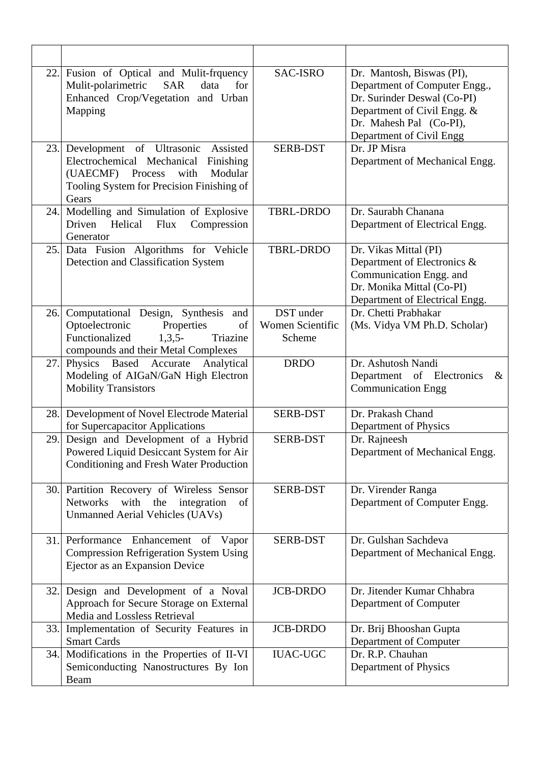| 22.  | Fusion of Optical and Mulit-frquency<br>Mulit-polarimetric<br><b>SAR</b><br>data<br>for<br>Enhanced Crop/Vegetation and Urban<br>Mapping                                         | <b>SAC-ISRO</b>                                | Dr. Mantosh, Biswas (PI),<br>Department of Computer Engg.,<br>Dr. Surinder Deswal (Co-PI)<br>Department of Civil Engg. &<br>Dr. Mahesh Pal (Co-PI),<br>Department of Civil Engg |
|------|----------------------------------------------------------------------------------------------------------------------------------------------------------------------------------|------------------------------------------------|---------------------------------------------------------------------------------------------------------------------------------------------------------------------------------|
| 23.1 | Development of Ultrasonic<br>Assisted<br>Electrochemical Mechanical<br>Finishing<br>(UAECMF)<br>Process<br>with<br>Modular<br>Tooling System for Precision Finishing of<br>Gears | <b>SERB-DST</b>                                | Dr. JP Misra<br>Department of Mechanical Engg.                                                                                                                                  |
| 24.  | Modelling and Simulation of Explosive<br>Helical<br>Flux<br>Compression<br>Driven<br>Generator                                                                                   | <b>TBRL-DRDO</b>                               | Dr. Saurabh Chanana<br>Department of Electrical Engg.                                                                                                                           |
| 25.  | Data Fusion Algorithms for Vehicle<br>Detection and Classification System                                                                                                        | <b>TBRL-DRDO</b>                               | Dr. Vikas Mittal (PI)<br>Department of Electronics &<br>Communication Engg. and<br>Dr. Monika Mittal (Co-PI)<br>Department of Electrical Engg.                                  |
| 26.  | Computational Design, Synthesis and<br>Optoelectronic<br>Properties<br>of<br>Functionalized<br>$1,3,5-$<br>Triazine<br>compounds and their Metal Complexes                       | DST under<br><b>Women Scientific</b><br>Scheme | Dr. Chetti Prabhakar<br>(Ms. Vidya VM Ph.D. Scholar)                                                                                                                            |
| 27.  | Physics Based Accurate Analytical<br>Modeling of AIGaN/GaN High Electron<br><b>Mobility Transistors</b>                                                                          | <b>DRDO</b>                                    | Dr. Ashutosh Nandi<br>Department of Electronics<br>$\&$<br><b>Communication Engg</b>                                                                                            |
| 28.  | Development of Novel Electrode Material<br>for Supercapacitor Applications                                                                                                       | <b>SERB-DST</b>                                | Dr. Prakash Chand<br>Department of Physics                                                                                                                                      |
| 29.  | Design and Development of a Hybrid<br>Powered Liquid Desiccant System for Air<br>Conditioning and Fresh Water Production                                                         | <b>SERB-DST</b>                                | Dr. Rajneesh<br>Department of Mechanical Engg.                                                                                                                                  |
|      | 30. Partition Recovery of Wireless Sensor<br>Networks<br>with the<br>integration<br>of<br>Unmanned Aerial Vehicles (UAVs)                                                        | <b>SERB-DST</b>                                | Dr. Virender Ranga<br>Department of Computer Engg.                                                                                                                              |
|      | 31. Performance Enhancement of Vapor<br><b>Compression Refrigeration System Using</b><br>Ejector as an Expansion Device                                                          | <b>SERB-DST</b>                                | Dr. Gulshan Sachdeva<br>Department of Mechanical Engg.                                                                                                                          |
| 32.  | Design and Development of a Noval<br>Approach for Secure Storage on External<br>Media and Lossless Retrieval                                                                     | <b>JCB-DRDO</b>                                | Dr. Jitender Kumar Chhabra<br>Department of Computer                                                                                                                            |
| 33.  | Implementation of Security Features in<br><b>Smart Cards</b>                                                                                                                     | <b>JCB-DRDO</b>                                | Dr. Brij Bhooshan Gupta<br>Department of Computer                                                                                                                               |
| 34.  | Modifications in the Properties of II-VI<br>Semiconducting Nanostructures By Ion<br>Beam                                                                                         | <b>IUAC-UGC</b>                                | Dr. R.P. Chauhan<br>Department of Physics                                                                                                                                       |